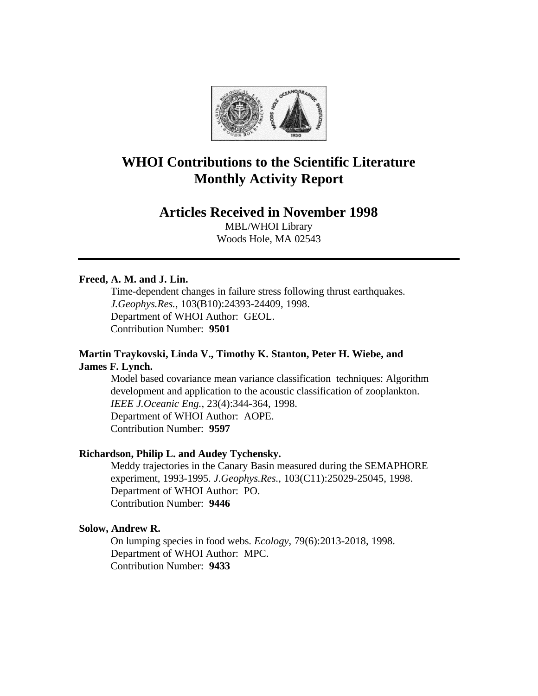

# **WHOI Contributions to the Scientific Literature Monthly Activity Report**

# **Articles Received in November 1998**

MBL/WHOI Library Woods Hole, MA 02543

#### **Freed, A. M. and J. Lin.**

Time-dependent changes in failure stress following thrust earthquakes. *J.Geophys.Res.*, 103(B10):24393-24409, 1998. Department of WHOI Author: GEOL. Contribution Number: **9501**

### **Martin Traykovski, Linda V., Timothy K. Stanton, Peter H. Wiebe, and James F. Lynch.**

Model based covariance mean variance classification techniques: Algorithm development and application to the acoustic classification of zooplankton. *IEEE J.Oceanic Eng.*, 23(4):344-364, 1998. Department of WHOI Author: AOPE. Contribution Number: **9597**

#### **Richardson, Philip L. and Audey Tychensky.**

Meddy trajectories in the Canary Basin measured during the SEMAPHORE experiment, 1993-1995. *J.Geophys.Res.*, 103(C11):25029-25045, 1998. Department of WHOI Author: PO. Contribution Number: **9446**

#### **Solow, Andrew R.**

On lumping species in food webs. *Ecology*, 79(6):2013-2018, 1998. Department of WHOI Author: MPC. Contribution Number: **9433**